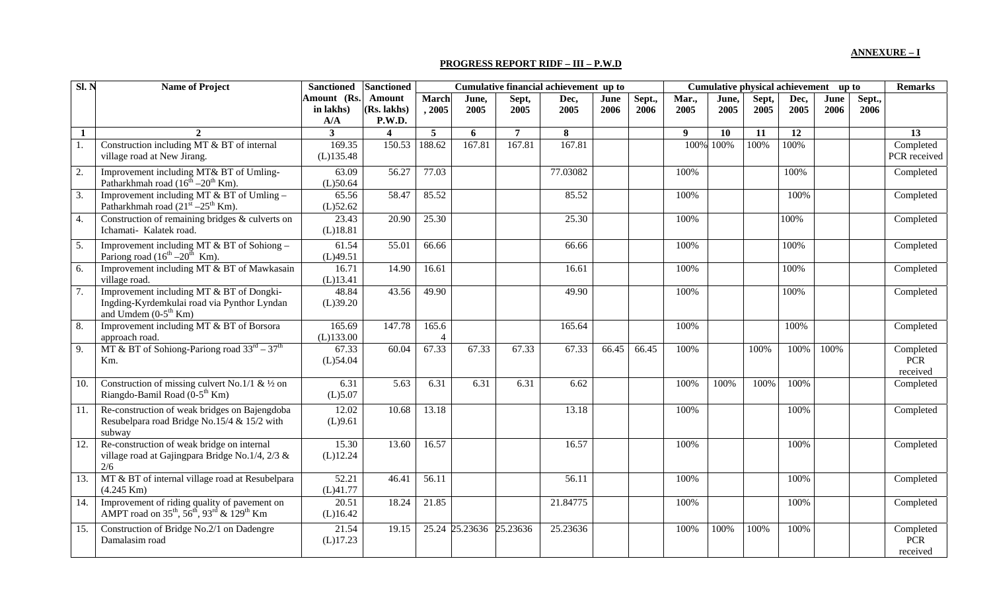**ANNEXURE – I**

## **PROGRESS REPORT RIDF – III – P.W.D**

| SI. N            | <b>Name of Project</b>                                                                                                                     | <b>Sanctioned</b>               | <b>Sanctioned</b>                      | Cumulative financial achievement up to |                         |                |              |              |                | Cumulative physical achievement up to | <b>Remarks</b> |               |              |              |                |                                     |
|------------------|--------------------------------------------------------------------------------------------------------------------------------------------|---------------------------------|----------------------------------------|----------------------------------------|-------------------------|----------------|--------------|--------------|----------------|---------------------------------------|----------------|---------------|--------------|--------------|----------------|-------------------------------------|
|                  |                                                                                                                                            | Amount (Rs.<br>in lakhs)<br>A/A | <b>Amount</b><br>(Rs. lakhs)<br>P.W.D. | <b>March</b><br>, 2005                 | June,<br>2005           | Sept,<br>2005  | Dec,<br>2005 | June<br>2006 | Sept.,<br>2006 | Mar.,<br>2005                         | June,<br>2005  | Sept,<br>2005 | Dec,<br>2005 | June<br>2006 | Sept.,<br>2006 |                                     |
| $\mathbf{1}$     | $\mathbf{2}$                                                                                                                               | $3^{\circ}$                     | $\overline{\mathbf{4}}$                | 5                                      | 6                       | $\overline{7}$ | 8            |              |                | 9                                     | 10             | 11            | 12           |              |                | 13                                  |
|                  | Construction including MT & BT of internal<br>village road at New Jirang.                                                                  | 169.35<br>$(L)$ 135.48          | 150.53                                 | 188.62                                 | 167.81                  | 167.81         | 167.81       |              |                | 100%                                  | 100%           | 100%          | 100%         |              |                | Completed<br>PCR received           |
| 2.               | Improvement including MT& BT of Umling-<br>Patharkhmah road $(16^{\text{th}} - 20^{\text{th}} \text{ Km})$ .                               | 63.09<br>$(L)$ 50.64            | 56.27                                  | 77.03                                  |                         |                | 77.03082     |              |                | 100%                                  |                |               | 100%         |              |                | Completed                           |
| 3.               | Improvement including MT & BT of Umling -<br>Patharkhmah road $(21^{\overline{st}} - 25^{\text{th}} Km)$ .                                 | 65.56<br>$(L)$ 52.62            | 58.47                                  | 85.52                                  |                         |                | 85.52        |              |                | 100%                                  |                |               | 100%         |              |                | Completed                           |
| $\overline{4}$ . | Construction of remaining bridges & culverts on<br>Ichamati- Kalatek road.                                                                 | 23.43<br>(L)18.81               | 20.90                                  | 25.30                                  |                         |                | 25.30        |              |                | 100%                                  |                |               | 100%         |              |                | Completed                           |
| 5.               | Improvement including MT $& BT$ of Sohiong –<br>Pariong road $(16^{\text{th}} - 20^{\text{th}})$ Km).                                      | 61.54<br>(L)49.51               | 55.01                                  | 66.66                                  |                         |                | 66.66        |              |                | 100%                                  |                |               | 100%         |              |                | Completed                           |
| 6.               | Improvement including MT & BT of Mawkasain<br>village road.                                                                                | 16.71<br>$(L)$ 13.41            | 14.90                                  | 16.61                                  |                         |                | 16.61        |              |                | 100%                                  |                |               | 100%         |              |                | Completed                           |
| 7.               | Improvement including MT & BT of Dongki-<br>Ingding-Kyrdemkulai road via Pynthor Lyndan<br>and Umdem $(0-5$ <sup>th</sup> Km)              | 48.84<br>(L)39.20               | 43.56                                  | 49.90                                  |                         |                | 49.90        |              |                | 100%                                  |                |               | 100%         |              |                | Completed                           |
| 8.               | Improvement including MT & BT of Borsora<br>approach road.                                                                                 | 165.69<br>(L)133.00             | 147.78                                 | 165.6                                  |                         |                | 165.64       |              |                | 100%                                  |                |               | 100%         |              |                | Completed                           |
| 9.               | MT & BT of Sohiong-Pariong road $33^{\text{rd}} - 37^{\text{th}}$<br>Km.                                                                   | 67.33<br>$(L)$ 54.04            | 60.04                                  | 67.33                                  | 67.33                   | 67.33          | 67.33        | 66.45        | 66.45          | 100%                                  |                | 100%          | 100%         | 100%         |                | Completed<br><b>PCR</b><br>received |
| 10.              | Construction of missing culvert No.1/1 & $\frac{1}{2}$ on<br>Riangdo-Bamil Road (0-5 <sup>th</sup> Km)                                     | 6.31<br>$(L)$ 5.07              | 5.63                                   | 6.31                                   | 6.31                    | 6.31           | 6.62         |              |                | 100%                                  | 100%           | 100%          | 100%         |              |                | Completed                           |
| 11.              | Re-construction of weak bridges on Bajengdoba<br>Resubelpara road Bridge No.15/4 & 15/2 with<br>subway                                     | 12.02<br>(L)9.61                | 10.68                                  | 13.18                                  |                         |                | 13.18        |              |                | 100%                                  |                |               | 100%         |              |                | Completed                           |
| 12.              | Re-construction of weak bridge on internal<br>village road at Gajingpara Bridge No.1/4, 2/3 &<br>2/6                                       | 15.30<br>(L)12.24               | 13.60                                  | 16.57                                  |                         |                | 16.57        |              |                | 100%                                  |                |               | 100%         |              |                | Completed                           |
| 13.              | MT & BT of internal village road at Resubelpara<br>$(4.245$ Km $)$                                                                         | 52.21<br>(L)41.77               | 46.41                                  | 56.11                                  |                         |                | 56.11        |              |                | 100%                                  |                |               | 100%         |              |                | Completed                           |
| 14.              | Improvement of riding quality of pavement on<br>AMPT road on $35^{\text{th}}$ , $56^{\text{th}}$ , $93^{\text{rd}}$ & $129^{\text{th}}$ Km | 20.51<br>(L)16.42               | 18.24                                  | 21.85                                  |                         |                | 21.84775     |              |                | 100%                                  |                |               | 100%         |              |                | Completed                           |
| 15.              | Construction of Bridge No.2/1 on Dadengre<br>Damalasim road                                                                                | 21.54<br>(L)17.23               | 19.15                                  |                                        | 25.24 25.23636 25.23636 |                | 25.23636     |              |                | 100%                                  | 100%           | 100%          | 100%         |              |                | Completed<br><b>PCR</b><br>received |